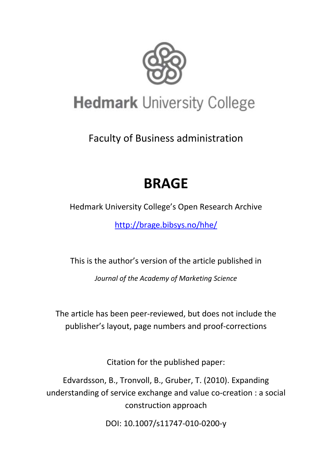

# **Hedmark University College**

Faculty of Business administration

## **BRAGE**

Hedmark University College's Open Research Archive <http://brage.bibsys.no/hhe/>

This is the author's version of the article published in

*Journal of the Academy of Marketing Science*

The article has been peer‐reviewed, but does not include the publisher's layout, page numbers and proof‐corrections

Citation for the published paper:

Edvardsson, B., Tronvoll, B., Gruber, T. (2010). Expanding understanding of service exchange and value co‐creation : a social construction approach

DOI: 10.1007/s11747‐010‐0200‐y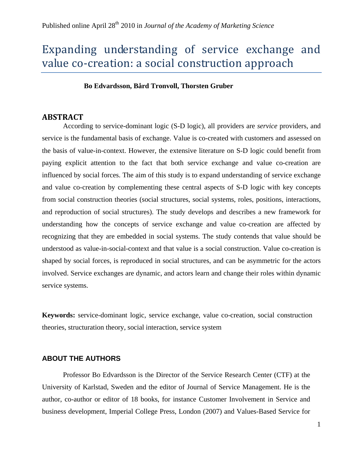## Expanding understanding of service exchange and value co-creation: a social construction approach

#### **Bo Edvardsson, Bård Tronvoll, Thorsten Gruber**

#### **ABSTRACT**

According to service-dominant logic (S-D logic), all providers are *service* providers, and service is the fundamental basis of exchange. Value is co-created with customers and assessed on the basis of value-in-context. However, the extensive literature on S-D logic could benefit from paying explicit attention to the fact that both service exchange and value co-creation are influenced by social forces. The aim of this study is to expand understanding of service exchange and value co-creation by complementing these central aspects of S-D logic with key concepts from social construction theories (social structures, social systems, roles, positions, interactions, and reproduction of social structures). The study develops and describes a new framework for understanding how the concepts of service exchange and value co-creation are affected by recognizing that they are embedded in social systems. The study contends that value should be understood as value-in-social-context and that value is a social construction. Value co-creation is shaped by social forces, is reproduced in social structures, and can be asymmetric for the actors involved. Service exchanges are dynamic, and actors learn and change their roles within dynamic service systems.

**Keywords:** service-dominant logic, service exchange, value co-creation, social construction theories, structuration theory, social interaction, service system

#### **ABOUT THE AUTHORS**

Professor Bo Edvardsson is the Director of the Service Research Center (CTF) at the University of Karlstad, Sweden and the editor of Journal of Service Management. He is the author, co-author or editor of 18 books, for instance Customer Involvement in Service and business development, Imperial College Press, London (2007) and Values-Based Service for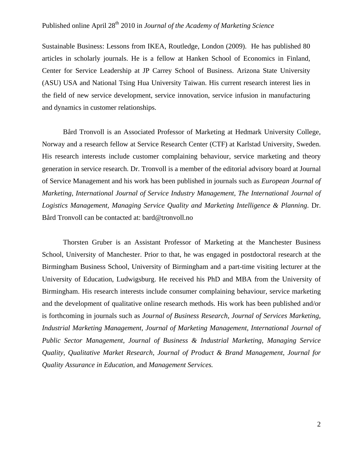Sustainable Business: Lessons from IKEA, Routledge, London (2009). He has published 80 articles in scholarly journals. He is a fellow at Hanken School of Economics in Finland, Center for Service Leadership at JP Carrey School of Business. Arizona State University (ASU) USA and National Tsing Hua University Taiwan. His current research interest lies in the field of new service development, service innovation, service infusion in manufacturing and dynamics in customer relationships.

Bård Tronvoll is an Associated Professor of Marketing at Hedmark University College, Norway and a research fellow at Service Research Center (CTF) at Karlstad University, Sweden. His research interests include customer complaining behaviour, service marketing and theory generation in service research. Dr. Tronvoll is a member of the editorial advisory board at Journal of Service Management and his work has been published in journals such as *European Journal of Marketing, International Journal of Service Industry Management, The International Journal of Logistics Management, Managing Service Quality and Marketing Intelligence & Planning*. Dr. Bård Tronvoll can be contacted at: [bard@tronvoll.no](mailto:bard@tronvoll.no) 

Thorsten Gruber is an Assistant Professor of Marketing at the Manchester Business School, University of Manchester. Prior to that, he was engaged in postdoctoral research at the Birmingham Business School, University of Birmingham and a part-time visiting lecturer at the University of Education, Ludwigsburg. He received his PhD and MBA from the University of Birmingham. His research interests include consumer complaining behaviour, service marketing and the development of qualitative online research methods. His work has been published and/or is forthcoming in journals such as *Journal of Business Research, Journal of Services Marketing, Industrial Marketing Management, Journal of Marketing Management, International Journal of Public Sector Management, Journal of Business & Industrial Marketing, Managing Service Quality, Qualitative Market Research, Journal of Product & Brand Management, Journal for Quality Assurance in Education,* and *Management Services.*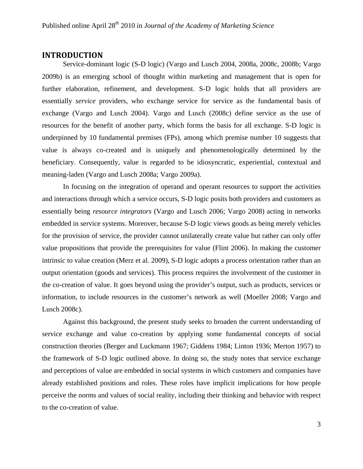#### **INTRODUCTION**

Service-dominant logic (S-D logic) (Vargo and Lusch 2004, 2008a, 2008c, 2008b; Vargo 2009b) is an emerging school of thought within marketing and management that is open for further elaboration, refinement, and development. S-D logic holds that all providers are essentially *service* providers, who exchange service for service as the fundamental basis of exchange (Vargo and Lusch 2004). Vargo and Lusch (2008c) define service as the use of resources for the benefit of another party, which forms the basis for all exchange. S-D logic is underpinned by 10 fundamental premises (FPs), among which premise number 10 suggests that value is always co-created and is uniquely and phenomenologically determined by the beneficiary. Consequently, value is regarded to be idiosyncratic, experiential, contextual and meaning-laden (Vargo and Lusch 2008a; Vargo 2009a).

In focusing on the integration of operand and operant resources to support the activities and interactions through which a service occurs, S-D logic posits both providers and customers as essentially being *resource integrators* (Vargo and Lusch 2006; Vargo 2008) acting in networks embedded in service systems. Moreover, because S-D logic views goods as being merely vehicles for the provision of service, the provider cannot unilaterally create value but rather can only offer value propositions that provide the prerequisites for value (Flint 2006). In making the customer intrinsic to value creation (Merz et al. 2009), S-D logic adopts a process orientation rather than an output orientation (goods and services). This process requires the involvement of the customer in the co-creation of value. It goes beyond using the provider's output, such as products, services or information, to include resources in the customer's network as well (Moeller 2008; Vargo and Lusch 2008c).

Against this background, the present study seeks to broaden the current understanding of service exchange and value co-creation by applying some fundamental concepts of social construction theories (Berger and Luckmann 1967; Giddens 1984; Linton 1936; Merton 1957) to the framework of S-D logic outlined above. In doing so, the study notes that service exchange and perceptions of value are embedded in social systems in which customers and companies have already established positions and roles. These roles have implicit implications for how people perceive the norms and values of social reality, including their thinking and behavior with respect to the co-creation of value.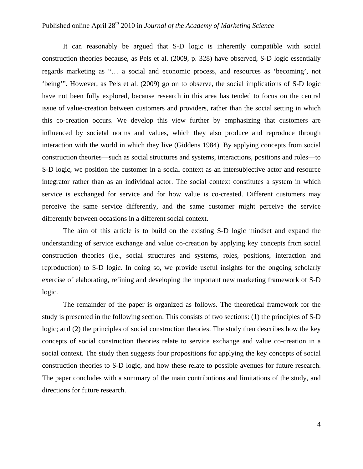It can reasonably be argued that S-D logic is inherently compatible with social construction theories because, as Pels et al. (2009, p. 328) have observed, S-D logic essentially regards marketing as "… a social and economic process, and resources as 'becoming', not 'being'". However, as Pels et al. (2009) go on to observe, the social implications of S-D logic have not been fully explored, because research in this area has tended to focus on the central issue of value-creation between customers and providers, rather than the social setting in which this co-creation occurs. We develop this view further by emphasizing that customers are influenced by societal norms and values, which they also produce and reproduce through interaction with the world in which they live (Giddens 1984). By applying concepts from social construction theories—such as social structures and systems, interactions, positions and roles—to S-D logic, we position the customer in a social context as an intersubjective actor and resource integrator rather than as an individual actor. The social context constitutes a system in which service is exchanged for service and for how value is co-created. Different customers may perceive the same service differently, and the same customer might perceive the service differently between occasions in a different social context.

The aim of this article is to build on the existing S-D logic mindset and expand the understanding of service exchange and value co-creation by applying key concepts from social construction theories (i.e., social structures and systems, roles, positions, interaction and reproduction) to S-D logic. In doing so, we provide useful insights for the ongoing scholarly exercise of elaborating, refining and developing the important new marketing framework of S-D logic.

The remainder of the paper is organized as follows. The theoretical framework for the study is presented in the following section. This consists of two sections: (1) the principles of S-D logic; and (2) the principles of social construction theories. The study then describes how the key concepts of social construction theories relate to service exchange and value co-creation in a social context. The study then suggests four propositions for applying the key concepts of social construction theories to S-D logic, and how these relate to possible avenues for future research. The paper concludes with a summary of the main contributions and limitations of the study, and directions for future research.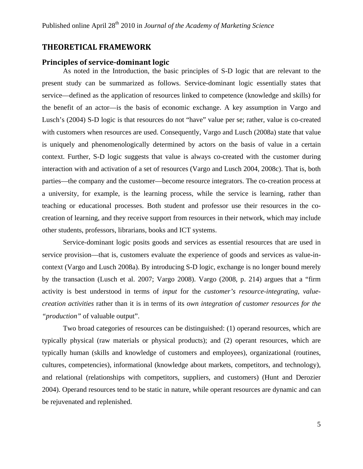### **THEORETICAL FRAMEWORK**

#### **Principles of servicedominant logic**

As noted in the Introduction, the basic principles of S-D logic that are relevant to the present study can be summarized as follows. Service-dominant logic essentially states that service—defined as the application of resources linked to competence (knowledge and skills) for the benefit of an actor—is the basis of economic exchange. A key assumption in Vargo and Lusch's (2004) S-D logic is that resources do not "have" value per se; rather, value is co-created with customers when resources are used. Consequently, Vargo and Lusch (2008a) state that value is uniquely and phenomenologically determined by actors on the basis of value in a certain context. Further, S-D logic suggests that value is always co-created with the customer during interaction with and activation of a set of resources (Vargo and Lusch 2004, 2008c). That is, both parties—the company and the customer—become resource integrators. The co-creation process at a university, for example, is the learning process, while the service is learning, rather than teaching or educational processes. Both student and professor use their resources in the cocreation of learning, and they receive support from resources in their network, which may include other students, professors, librarians, books and ICT systems.

Service-dominant logic posits goods and services as essential resources that are used in service provision—that is, customers evaluate the experience of goods and services as value-incontext (Vargo and Lusch 2008a). By introducing S-D logic, exchange is no longer bound merely by the transaction (Lusch et al. 2007; Vargo 2008). Vargo (2008, p. 214) argues that a "firm activity is best understood in terms of *input* for the *customer's resource-integrating, valuecreation activities* rather than it is in terms of its *own integration of customer resources for the "production"* of valuable output".

Two broad categories of resources can be distinguished: (1) operand resources, which are typically physical (raw materials or physical products); and (2) operant resources, which are typically human (skills and knowledge of customers and employees), organizational (routines, cultures, competencies), informational (knowledge about markets, competitors, and technology), and relational (relationships with competitors, suppliers, and customers) (Hunt and Derozier 2004). Operand resources tend to be static in nature, while operant resources are dynamic and can be rejuvenated and replenished.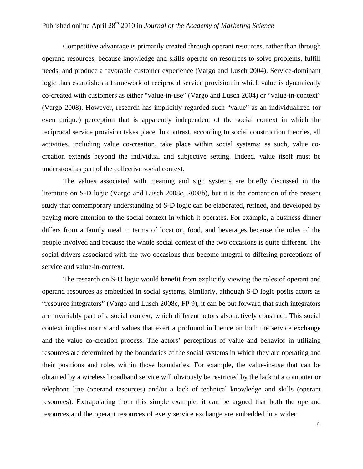Competitive advantage is primarily created through operant resources, rather than through operand resources, because knowledge and skills operate on resources to solve problems, fulfill needs, and produce a favorable customer experience (Vargo and Lusch 2004). Service-dominant logic thus establishes a framework of reciprocal service provision in which value is dynamically co-created with customers as either "value-in-use" (Vargo and Lusch 2004) or "value-in-context" (Vargo 2008). However, research has implicitly regarded such "value" as an individualized (or even unique) perception that is apparently independent of the social context in which the reciprocal service provision takes place. In contrast, according to social construction theories, all activities, including value co-creation, take place within social systems; as such, value cocreation extends beyond the individual and subjective setting. Indeed, value itself must be understood as part of the collective social context.

The values associated with meaning and sign systems are briefly discussed in the literature on S-D logic (Vargo and Lusch 2008c, 2008b), but it is the contention of the present study that contemporary understanding of S-D logic can be elaborated, refined, and developed by paying more attention to the social context in which it operates. For example, a business dinner differs from a family meal in terms of location, food, and beverages because the roles of the people involved and because the whole social context of the two occasions is quite different. The social drivers associated with the two occasions thus become integral to differing perceptions of service and value-in-context.

The research on S-D logic would benefit from explicitly viewing the roles of operant and operand resources as embedded in social systems. Similarly, although S-D logic posits actors as "resource integrators" (Vargo and Lusch 2008c, FP 9), it can be put forward that such integrators are invariably part of a social context, which different actors also actively construct. This social context implies norms and values that exert a profound influence on both the service exchange and the value co-creation process. The actors' perceptions of value and behavior in utilizing resources are determined by the boundaries of the social systems in which they are operating and their positions and roles within those boundaries. For example, the value-in-use that can be obtained by a wireless broadband service will obviously be restricted by the lack of a computer or telephone line (operand resources) and/or a lack of technical knowledge and skills (operant resources). Extrapolating from this simple example, it can be argued that both the operand resources and the operant resources of every service exchange are embedded in a wider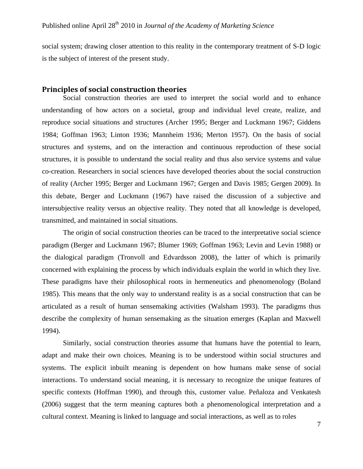social system; drawing closer attention to this reality in the contemporary treatment of S-D logic is the subject of interest of the present study.

#### **Principles of social construction theories**

Social construction theories are used to interpret the social world and to enhance understanding of how actors on a societal, group and individual level create, realize, and reproduce social situations and structures (Archer 1995; Berger and Luckmann 1967; Giddens 1984; Goffman 1963; Linton 1936; Mannheim 1936; Merton 1957). On the basis of social structures and systems, and on the interaction and continuous reproduction of these social structures, it is possible to understand the social reality and thus also service systems and value co-creation. Researchers in social sciences have developed theories about the social construction of reality (Archer 1995; Berger and Luckmann 1967; Gergen and Davis 1985; Gergen 2009). In this debate, Berger and Luckmann (1967) have raised the discussion of a subjective and intersubjective reality versus an objective reality. They noted that all knowledge is developed, transmitted, and maintained in social situations.

The origin of social construction theories can be traced to the interpretative social science paradigm (Berger and Luckmann 1967; Blumer 1969; Goffman 1963; Levin and Levin 1988) or the dialogical paradigm (Tronvoll and Edvardsson 2008), the latter of which is primarily concerned with explaining the process by which individuals explain the world in which they live. These paradigms have their philosophical roots in hermeneutics and phenomenology (Boland 1985). This means that the only way to understand reality is as a social construction that can be articulated as a result of human sensemaking activities (Walsham 1993). The paradigms thus describe the complexity of human sensemaking as the situation emerges (Kaplan and Maxwell 1994).

Similarly, social construction theories assume that humans have the potential to learn, adapt and make their own choices. Meaning is to be understood within social structures and systems. The explicit inbuilt meaning is dependent on how humans make sense of social interactions. To understand social meaning, it is necessary to recognize the unique features of specific contexts (Hoffman 1990), and through this, customer value. Peñaloza and Venkatesh (2006) suggest that the term meaning captures both a phenomenological interpretation and a cultural context. Meaning is linked to language and social interactions, as well as to roles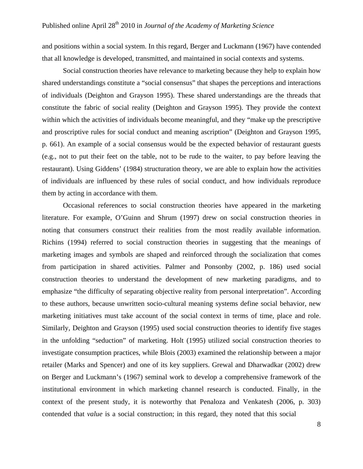and positions within a social system. In this regard, Berger and Luckmann (1967) have contended that all knowledge is developed, transmitted, and maintained in social contexts and systems.

Social construction theories have relevance to marketing because they help to explain how shared understandings constitute a "social consensus" that shapes the perceptions and interactions of individuals (Deighton and Grayson 1995). These shared understandings are the threads that constitute the fabric of social reality (Deighton and Grayson 1995). They provide the context within which the activities of individuals become meaningful, and they "make up the prescriptive and proscriptive rules for social conduct and meaning ascription" (Deighton and Grayson 1995, p. 661). An example of a social consensus would be the expected behavior of restaurant guests (e.g., not to put their feet on the table, not to be rude to the waiter, to pay before leaving the restaurant). Using Giddens' (1984) structuration theory, we are able to explain how the activities of individuals are influenced by these rules of social conduct, and how individuals reproduce them by acting in accordance with them.

Occasional references to social construction theories have appeared in the marketing literature. For example, O'Guinn and Shrum (1997) drew on social construction theories in noting that consumers construct their realities from the most readily available information. Richins (1994) referred to social construction theories in suggesting that the meanings of marketing images and symbols are shaped and reinforced through the socialization that comes from participation in shared activities. Palmer and Ponsonby (2002, p. 186) used social construction theories to understand the development of new marketing paradigms, and to emphasize "the difficulty of separating objective reality from personal interpretation". According to these authors, because unwritten socio-cultural meaning systems define social behavior, new marketing initiatives must take account of the social context in terms of time, place and role. Similarly, Deighton and Grayson (1995) used social construction theories to identify five stages in the unfolding "seduction" of marketing. Holt (1995) utilized social construction theories to investigate consumption practices, while Blois (2003) examined the relationship between a major retailer (Marks and Spencer) and one of its key suppliers. Grewal and Dharwadkar (2002) drew on Berger and Luckmann's (1967) seminal work to develop a comprehensive framework of the institutional environment in which marketing channel research is conducted. Finally, in the context of the present study, it is noteworthy that Penaloza and Venkatesh (2006, p. 303) contended that *value* is a social construction; in this regard, they noted that this social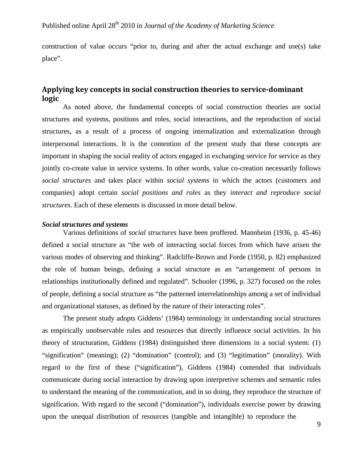construction of value occurs "prior to, during and after the actual exchange and use(s) take place".

## **Applying key concepts in social construction theories to servicedominant logic**

As noted above, the fundamental concepts of social construction theories are social structures and systems, positions and roles, social interactions, and the reproduction of social structures, as a result of a process of ongoing internalization and externalization through interpersonal interactions. It is the contention of the present study that these concepts are important in shaping the social reality of actors engaged in exchanging service for service as they jointly co-create value in service systems. In other words, value co-creation necessarily follows *social structures* and takes place within *social systems* in which the actors (customers and companies) adopt certain *social positions and roles* as they *interact and reproduce social structures*. Each of these elements is discussed in more detail below.

#### *Social structures and systems*

Various definitions of *social structures* have been proffered. Mannheim (1936, p. 45-46) defined a social structure as "the web of interacting social forces from which have arisen the various modes of observing and thinking". Radcliffe-Brown and Forde (1950, p. 82) emphasized the role of human beings, defining a social structure as an "arrangement of persons in relationships institutionally defined and regulated". Schooler (1996, p. 327) focused on the roles of people, defining a social structure as "the patterned interrelationships among a set of individual and organizational statuses, as defined by the nature of their interacting roles".

The present study adopts Giddens' (1984) terminology in understanding social structures as empirically unobservable rules and resources that directly influence social activities. In his theory of structuration, Giddens (1984) distinguished three dimensions in a social system: (1) "signification" (meaning); (2) "domination" (control); and (3) "legitimation" (morality). With regard to the first of these ("signification"), Giddens (1984) contended that individuals communicate during social interaction by drawing upon interpretive schemes and semantic rules to understand the meaning of the communication, and in so doing, they reproduce the structure of signification. With regard to the second ("domination"), individuals exercise power by drawing upon the unequal distribution of resources (tangible and intangible) to reproduce the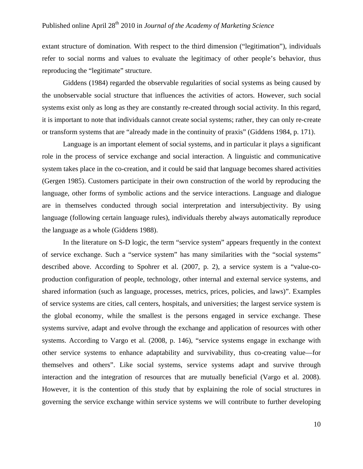extant structure of domination. With respect to the third dimension ("legitimation"), individuals refer to social norms and values to evaluate the legitimacy of other people's behavior, thus reproducing the "legitimate" structure.

Giddens (1984) regarded the observable regularities of social systems as being caused by the unobservable social structure that influences the activities of actors. However, such social systems exist only as long as they are constantly re-created through social activity. In this regard, it is important to note that individuals cannot create social systems; rather, they can only re-create or transform systems that are "already made in the continuity of praxis" (Giddens 1984, p. 171).

Language is an important element of social systems, and in particular it plays a significant role in the process of service exchange and social interaction. A linguistic and communicative system takes place in the co-creation, and it could be said that language becomes shared activities (Gergen 1985). Customers participate in their own construction of the world by reproducing the language, other forms of symbolic actions and the service interactions. Language and dialogue are in themselves conducted through social interpretation and intersubjectivity. By using language (following certain language rules), individuals thereby always automatically reproduce the language as a whole (Giddens 1988).

In the literature on S-D logic, the term "service system" appears frequently in the context of service exchange. Such a "service system" has many similarities with the "social systems" described above. According to Spohrer et al. (2007, p. 2), a service system is a "value-coproduction configuration of people, technology, other internal and external service systems, and shared information (such as language, processes, metrics, prices, policies, and laws)". Examples of service systems are cities, call centers, hospitals, and universities; the largest service system is the global economy, while the smallest is the persons engaged in service exchange. These systems survive, adapt and evolve through the exchange and application of resources with other systems. According to Vargo et al. (2008, p. 146), "service systems engage in exchange with other service systems to enhance adaptability and survivability, thus co-creating value—for themselves and others". Like social systems, service systems adapt and survive through interaction and the integration of resources that are mutually beneficial (Vargo et al. 2008). However, it is the contention of this study that by explaining the role of social structures in governing the service exchange within service systems we will contribute to further developing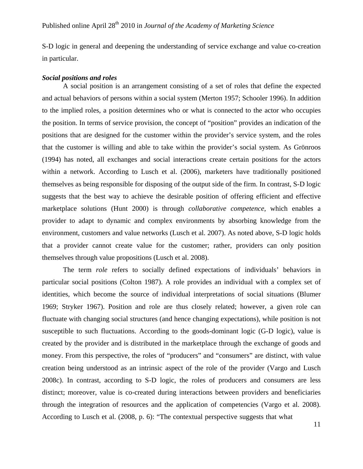S-D logic in general and deepening the understanding of service exchange and value co-creation in particular.

#### *Social positions and roles*

A social position is an arrangement consisting of a set of roles that define the expected and actual behaviors of persons within a social system (Merton 1957; Schooler 1996). In addition to the implied roles, a position determines who or what is connected to the actor who occupies the position. In terms of service provision, the concept of "position" provides an indication of the positions that are designed for the customer within the provider's service system, and the roles that the customer is willing and able to take within the provider's social system. As Grönroos (1994) has noted, all exchanges and social interactions create certain positions for the actors within a network. According to Lusch et al. (2006), marketers have traditionally positioned themselves as being responsible for disposing of the output side of the firm. In contrast, S-D logic suggests that the best way to achieve the desirable position of offering efficient and effective marketplace solutions (Hunt 2000) is through *collaborative competence*, which enables a provider to adapt to dynamic and complex environments by absorbing knowledge from the environment, customers and value networks (Lusch et al. 2007). As noted above, S-D logic holds that a provider cannot create value for the customer; rather, providers can only position themselves through value propositions (Lusch et al. 2008).

The term *role* refers to socially defined expectations of individuals' behaviors in particular social positions (Colton 1987). A role provides an individual with a complex set of identities, which become the source of individual interpretations of social situations (Blumer 1969; Stryker 1967). Position and role are thus closely related; however, a given role can fluctuate with changing social structures (and hence changing expectations), while position is not susceptible to such fluctuations. According to the goods-dominant logic (G-D logic), value is created by the provider and is distributed in the marketplace through the exchange of goods and money. From this perspective, the roles of "producers" and "consumers" are distinct, with value creation being understood as an intrinsic aspect of the role of the provider (Vargo and Lusch 2008c). In contrast, according to S-D logic, the roles of producers and consumers are less distinct; moreover, value is co-created during interactions between providers and beneficiaries through the integration of resources and the application of competencies (Vargo et al. 2008). According to Lusch et al. (2008, p. 6): "The contextual perspective suggests that what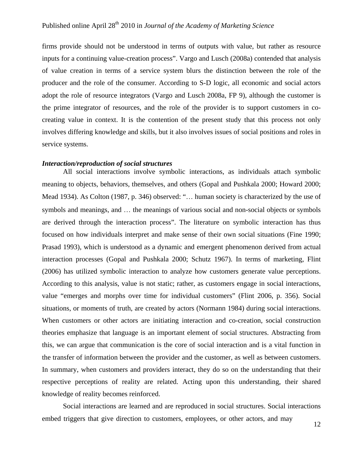firms provide should not be understood in terms of outputs with value, but rather as resource inputs for a continuing value-creation process". Vargo and Lusch (2008a) contended that analysis of value creation in terms of a service system blurs the distinction between the role of the producer and the role of the consumer. According to S-D logic, all economic and social actors adopt the role of resource integrators (Vargo and Lusch 2008a, FP 9), although the customer is the prime integrator of resources, and the role of the provider is to support customers in cocreating value in context. It is the contention of the present study that this process not only involves differing knowledge and skills, but it also involves issues of social positions and roles in service systems.

#### *Interaction/reproduction of social structures*

All social interactions involve symbolic interactions, as individuals attach symbolic meaning to objects, behaviors, themselves, and others (Gopal and Pushkala 2000; Howard 2000; Mead 1934). As Colton (1987, p. 346) observed: "… human society is characterized by the use of symbols and meanings, and … the meanings of various social and non-social objects or symbols are derived through the interaction process". The literature on symbolic interaction has thus focused on how individuals interpret and make sense of their own social situations (Fine 1990; Prasad 1993), which is understood as a dynamic and emergent phenomenon derived from actual interaction processes (Gopal and Pushkala 2000; Schutz 1967). In terms of marketing, Flint (2006) has utilized symbolic interaction to analyze how customers generate value perceptions. According to this analysis, value is not static; rather, as customers engage in social interactions, value "emerges and morphs over time for individual customers" (Flint 2006, p. 356). Social situations, or moments of truth, are created by actors (Normann 1984) during social interactions. When customers or other actors are initiating interaction and co-creation, social construction theories emphasize that language is an important element of social structures. Abstracting from this, we can argue that communication is the core of social interaction and is a vital function in the transfer of information between the provider and the customer, as well as between customers. In summary, when customers and providers interact, they do so on the understanding that their respective perceptions of reality are related. Acting upon this understanding, their shared knowledge of reality becomes reinforced.

Social interactions are learned and are reproduced in social structures. Social interactions embed triggers that give direction to customers, employees, or other actors, and may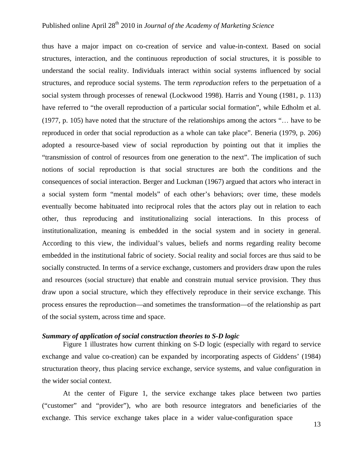thus have a major impact on co-creation of service and value-in-context. Based on social structures, interaction, and the continuous reproduction of social structures, it is possible to understand the social reality. Individuals interact within social systems influenced by social structures, and reproduce social systems. The term *reproduction* refers to the perpetuation of a social system through processes of renewal (Lockwood 1998). Harris and Young (1981, p. 113) have referred to "the overall reproduction of a particular social formation", while Edholm et al. (1977, p. 105) have noted that the structure of the relationships among the actors "… have to be reproduced in order that social reproduction as a whole can take place". Beneria (1979, p. 206) adopted a resource-based view of social reproduction by pointing out that it implies the "transmission of control of resources from one generation to the next". The implication of such notions of social reproduction is that social structures are both the conditions and the consequences of social interaction. Berger and Luckman (1967) argued that actors who interact in a social system form "mental models" of each other's behaviors; over time, these models eventually become habituated into reciprocal roles that the actors play out in relation to each other, thus reproducing and institutionalizing social interactions. In this process of institutionalization, meaning is embedded in the social system and in society in general. According to this view, the individual's values, beliefs and norms regarding reality become embedded in the institutional fabric of society. Social reality and social forces are thus said to be socially constructed. In terms of a service exchange, customers and providers draw upon the rules and resources (social structure) that enable and constrain mutual service provision. They thus draw upon a social structure, which they effectively reproduce in their service exchange. This process ensures the reproduction—and sometimes the transformation—of the relationship as part of the social system, across time and space.

#### *Summary of application of social construction theories to S-D logic*

Figure 1 illustrates how current thinking on S-D logic (especially with regard to service exchange and value co-creation) can be expanded by incorporating aspects of Giddens' (1984) structuration theory, thus placing service exchange, service systems, and value configuration in the wider social context.

At the center of Figure 1, the service exchange takes place between two parties ("customer" and "provider"), who are both resource integrators and beneficiaries of the exchange. This service exchange takes place in a wider value-configuration space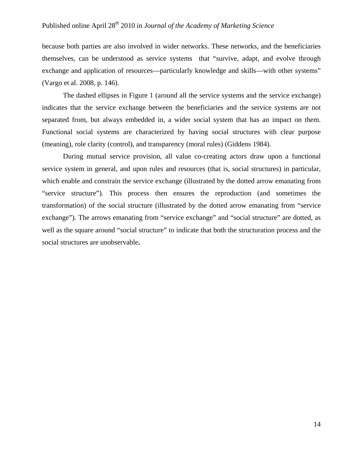because both parties are also involved in wider networks. These networks, and the beneficiaries themselves, can be understood as service systems that "survive, adapt, and evolve through exchange and application of resources—particularly knowledge and skills—with other systems" (Vargo et al. 2008, p. 146).

The dashed ellipses in Figure 1 (around all the service systems and the service exchange) indicates that the service exchange between the beneficiaries and the service systems are not separated from, but always embedded in, a wider social system that has an impact on them. Functional social systems are characterized by having social structures with clear purpose (meaning), role clarity (control), and transparency (moral rules) (Giddens 1984).

During mutual service provision, all value co-creating actors draw upon a functional service system in general, and upon rules and resources (that is, social structures) in particular, which enable and constrain the service exchange (illustrated by the dotted arrow emanating from "service structure"). This process then ensures the reproduction (and sometimes the transformation) of the social structure (illustrated by the dotted arrow emanating from "service exchange"). The arrows emanating from "service exchange" and "social structure" are dotted, as well as the square around "social structure" to indicate that both the structuration process and the social structures are unobservable**.**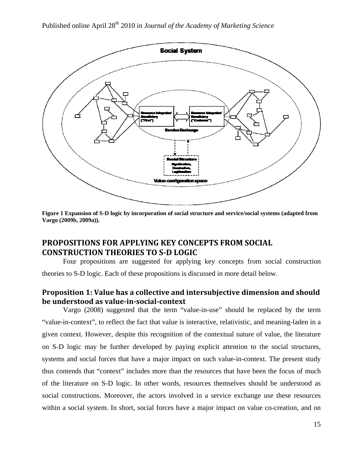

**Figure 1 Expansion of S-D logic by incorporation of social structure and service/social systems (adapted from Vargo (2009b, 2009a)).** 

## **PROPOSITIONS FOR APPLYING KEY CONCEPTS FROM SOCIAL CONSTRUCTION THEORIES TO SD LOGIC**

Four propositions are suggested for applying key concepts from social construction theories to S-D logic. Each of these propositions is discussed in more detail below.

## **Proposition 1: Value has a collective and intersubjective dimension and should be understood as valueinsocialcontext**

Vargo (2008) suggested that the term "value-in-use" should be replaced by the term "value-in-context", to reflect the fact that value is interactive, relativistic, and meaning-laden in a given context. However, despite this recognition of the contextual nature of value, the literature on S-D logic may be further developed by paying explicit attention to the social structures, systems and social forces that have a major impact on such value-in-context. The present study thus contends that "context" includes more than the resources that have been the focus of much of the literature on S-D logic. In other words, resources themselves should be understood as social constructions. Moreover, the actors involved in a service exchange use these resources within a social system. In short, social forces have a major impact on value co-creation, and on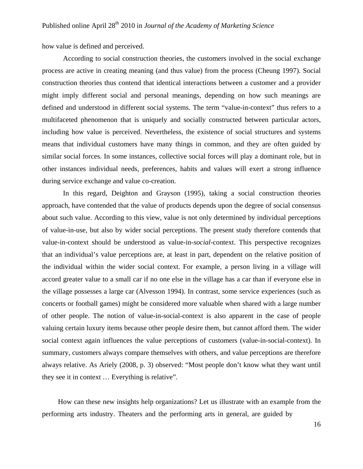how value is defined and perceived.

According to social construction theories, the customers involved in the social exchange process are active in creating meaning (and thus value) from the process (Cheung 1997). Social construction theories thus contend that identical interactions between a customer and a provider might imply different social and personal meanings, depending on how such meanings are defined and understood in different social systems. The term "value-in-context" thus refers to a multifaceted phenomenon that is uniquely and socially constructed between particular actors, including how value is perceived. Nevertheless, the existence of social structures and systems means that individual customers have many things in common, and they are often guided by similar social forces. In some instances, collective social forces will play a dominant role, but in other instances individual needs, preferences, habits and values will exert a strong influence during service exchange and value co-creation.

In this regard, Deighton and Grayson (1995), taking a social construction theories approach, have contended that the value of products depends upon the degree of social consensus about such value. According to this view, value is not only determined by individual perceptions of value-in-use, but also by wider social perceptions. The present study therefore contends that value-in-context should be understood as value-in-*social*-context. This perspective recognizes that an individual's value perceptions are, at least in part, dependent on the relative position of the individual within the wider social context. For example, a person living in a village will accord greater value to a small car if no one else in the village has a car than if everyone else in the village possesses a large car (Alvesson 1994). In contrast, some service experiences (such as concerts or football games) might be considered more valuable when shared with a large number of other people. The notion of value-in-social-context is also apparent in the case of people valuing certain luxury items because other people desire them, but cannot afford them. The wider social context again influences the value perceptions of customers (value-in-social-context). In summary, customers always compare themselves with others, and value perceptions are therefore always relative. As Ariely (2008, p. 3) observed: "Most people don't know what they want until they see it in context … Everything is relative".

How can these new insights help organizations? Let us illustrate with an example from the performing arts industry. Theaters and the performing arts in general, are guided by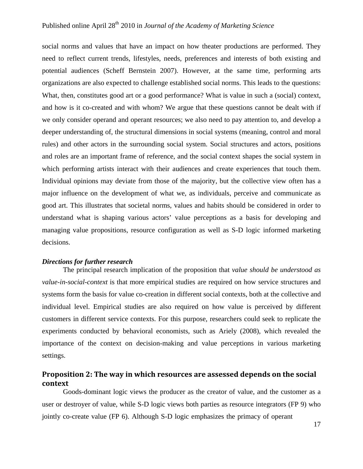social norms and values that have an impact on how theater productions are performed. They need to reflect current trends, lifestyles, needs, preferences and interests of both existing and potential audiences (Scheff Bernstein 2007). However, at the same time, performing arts organizations are also expected to challenge established social norms. This leads to the questions: What, then, constitutes good art or a good performance? What is value in such a (social) context, and how is it co-created and with whom? We argue that these questions cannot be dealt with if we only consider operand and operant resources; we also need to pay attention to, and develop a deeper understanding of, the structural dimensions in social systems (meaning, control and moral rules) and other actors in the surrounding social system. Social structures and actors, positions and roles are an important frame of reference, and the social context shapes the social system in which performing artists interact with their audiences and create experiences that touch them. Individual opinions may deviate from those of the majority, but the collective view often has a major influence on the development of what we, as individuals, perceive and communicate as good art. This illustrates that societal norms, values and habits should be considered in order to understand what is shaping various actors' value perceptions as a basis for developing and managing value propositions, resource configuration as well as S-D logic informed marketing decisions.

#### *Directions for further research*

The principal research implication of the proposition that *value should be understood as value-in-social-context* is that more empirical studies are required on how service structures and systems form the basis for value co-creation in different social contexts, both at the collective and individual level. Empirical studies are also required on how value is perceived by different customers in different service contexts. For this purpose, researchers could seek to replicate the experiments conducted by behavioral economists, such as Ariely (2008), which revealed the importance of the context on decision-making and value perceptions in various marketing settings.

## **Proposition 2: The way in which resources are assessed depends on the social context**

Goods-dominant logic views the producer as the creator of value, and the customer as a user or destroyer of value, while S-D logic views both parties as resource integrators (FP 9) who jointly co-create value (FP 6). Although S-D logic emphasizes the primacy of operant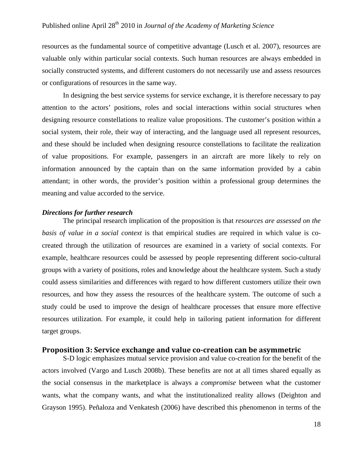resources as the fundamental source of competitive advantage (Lusch et al. 2007), resources are valuable only within particular social contexts. Such human resources are always embedded in socially constructed systems, and different customers do not necessarily use and assess resources or configurations of resources in the same way.

In designing the best service systems for service exchange, it is therefore necessary to pay attention to the actors' positions, roles and social interactions within social structures when designing resource constellations to realize value propositions. The customer's position within a social system, their role, their way of interacting, and the language used all represent resources, and these should be included when designing resource constellations to facilitate the realization of value propositions. For example, passengers in an aircraft are more likely to rely on information announced by the captain than on the same information provided by a cabin attendant; in other words, the provider's position within a professional group determines the meaning and value accorded to the service.

#### *Directions for further research*

The principal research implication of the proposition is that *resources are assessed on the basis of value in a social context* is that empirical studies are required in which value is cocreated through the utilization of resources are examined in a variety of social contexts. For example, healthcare resources could be assessed by people representing different socio-cultural groups with a variety of positions, roles and knowledge about the healthcare system. Such a study could assess similarities and differences with regard to how different customers utilize their own resources, and how they assess the resources of the healthcare system. The outcome of such a study could be used to improve the design of healthcare processes that ensure more effective resources utilization. For example, it could help in tailoring patient information for different target groups.

#### **Proposition 3: Service exchange and value cocreation can be asymmetric**

S-D logic emphasizes mutual service provision and value co-creation for the benefit of the actors involved (Vargo and Lusch 2008b). These benefits are not at all times shared equally as the social consensus in the marketplace is always a *compromise* between what the customer wants, what the company wants, and what the institutionalized reality allows (Deighton and Grayson 1995). Peñaloza and Venkatesh (2006) have described this phenomenon in terms of the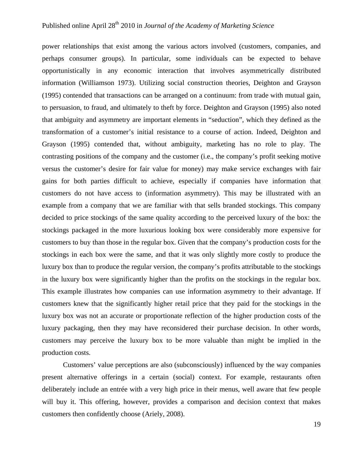power relationships that exist among the various actors involved (customers, companies, and perhaps consumer groups). In particular, some individuals can be expected to behave opportunistically in any economic interaction that involves asymmetrically distributed information (Williamson 1973). Utilizing social construction theories, Deighton and Grayson (1995) contended that transactions can be arranged on a continuum: from trade with mutual gain, to persuasion, to fraud, and ultimately to theft by force. Deighton and Grayson (1995) also noted that ambiguity and asymmetry are important elements in "seduction", which they defined as the transformation of a customer's initial resistance to a course of action. Indeed, Deighton and Grayson (1995) contended that, without ambiguity, marketing has no role to play. The contrasting positions of the company and the customer (i.e., the company's profit seeking motive versus the customer's desire for fair value for money) may make service exchanges with fair gains for both parties difficult to achieve, especially if companies have information that customers do not have access to (information asymmetry). This may be illustrated with an example from a company that we are familiar with that sells branded stockings. This company decided to price stockings of the same quality according to the perceived luxury of the box: the stockings packaged in the more luxurious looking box were considerably more expensive for customers to buy than those in the regular box. Given that the company's production costs for the stockings in each box were the same, and that it was only slightly more costly to produce the luxury box than to produce the regular version, the company's profits attributable to the stockings in the luxury box were significantly higher than the profits on the stockings in the regular box. This example illustrates how companies can use information asymmetry to their advantage. If customers knew that the significantly higher retail price that they paid for the stockings in the luxury box was not an accurate or proportionate reflection of the higher production costs of the luxury packaging, then they may have reconsidered their purchase decision. In other words, customers may perceive the luxury box to be more valuable than might be implied in the production costs.

Customers' value perceptions are also (subconsciously) influenced by the way companies present alternative offerings in a certain (social) context. For example, restaurants often deliberately include an entrée with a very high price in their menus, well aware that few people will buy it. This offering, however, provides a comparison and decision context that makes customers then confidently choose (Ariely, 2008).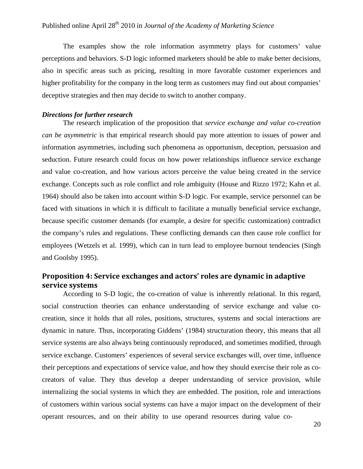The examples show the role information asymmetry plays for customers' value perceptions and behaviors. S-D logic informed marketers should be able to make better decisions, also in specific areas such as pricing, resulting in more favorable customer experiences and higher profitability for the company in the long term as customers may find out about companies' deceptive strategies and then may decide to switch to another company.

#### *Directions for further research*

The research implication of the proposition that *service exchange and value co-creation can be asymmetric* is that empirical research should pay more attention to issues of power and information asymmetries, including such phenomena as opportunism, deception, persuasion and seduction. Future research could focus on how power relationships influence service exchange and value co-creation, and how various actors perceive the value being created in the service exchange. Concepts such as role conflict and role ambiguity (House and Rizzo 1972; Kahn et al. 1964) should also be taken into account within S-D logic. For example, service personnel can be faced with situations in which it is difficult to facilitate a mutually beneficial service exchange, because specific customer demands (for example, a desire for specific customization) contradict the company's rules and regulations. These conflicting demands can then cause role conflict for employees (Wetzels et al. 1999), which can in turn lead to employee burnout tendencies (Singh and Goolsby 1995).

## **Proposition 4: Service exchanges and actors' roles are dynamic in adaptive service systems**

According to S-D logic, the co-creation of value is inherently relational. In this regard, social construction theories can enhance understanding of service exchange and value cocreation, since it holds that all roles, positions, structures, systems and social interactions are dynamic in nature. Thus, incorporating Giddens' (1984) structuration theory, this means that all service systems are also always being continuously reproduced, and sometimes modified, through service exchange. Customers' experiences of several service exchanges will, over time, influence their perceptions and expectations of service value, and how they should exercise their role as cocreators of value. They thus develop a deeper understanding of service provision, while internalizing the social systems in which they are embedded. The position, role and interactions of customers within various social systems can have a major impact on the development of their operant resources, and on their ability to use operand resources during value co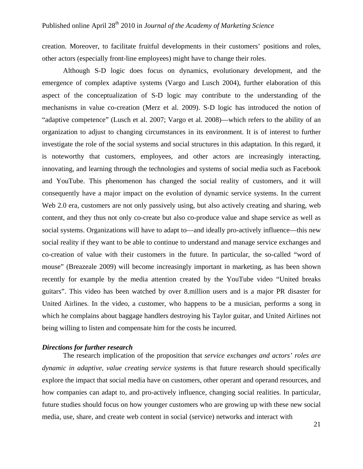creation. Moreover, to facilitate fruitful developments in their customers' positions and roles, other actors (especially front-line employees) might have to change their roles.

Although S-D logic does focus on dynamics, evolutionary development, and the emergence of complex adaptive systems (Vargo and Lusch 2004), further elaboration of this aspect of the conceptualization of S-D logic may contribute to the understanding of the mechanisms in value co-creation (Merz et al. 2009). S-D logic has introduced the notion of "adaptive competence" (Lusch et al. 2007; Vargo et al. 2008)—which refers to the ability of an organization to adjust to changing circumstances in its environment. It is of interest to further investigate the role of the social systems and social structures in this adaptation. In this regard, it is noteworthy that customers, employees, and other actors are increasingly interacting, innovating, and learning through the technologies and systems of social media such as Facebook and YouTube. This phenomenon has changed the social reality of customers, and it will consequently have a major impact on the evolution of dynamic service systems. In the current Web 2.0 era, customers are not only passively using, but also actively creating and sharing, web content, and they thus not only co-create but also co-produce value and shape service as well as social systems. Organizations will have to adapt to—and ideally pro-actively influence—this new social reality if they want to be able to continue to understand and manage service exchanges and co-creation of value with their customers in the future. In particular, the so-called "word of mouse" (Breazeale 2009) will become increasingly important in marketing, as has been shown recently for example by the media attention created by the YouTube video "United breaks guitars". This video has been watched by over 8.million users and is a major PR disaster for United Airlines. In the video, a customer, who happens to be a musician, performs a song in which he complains about baggage handlers destroying his Taylor guitar, and United Airlines not being willing to listen and compensate him for the costs he incurred.

#### *Directions for further research*

The research implication of the proposition that *service exchanges and actors' roles are dynamic in adaptive, value creating service systems* is that future research should specifically explore the impact that social media have on customers, other operant and operand resources, and how companies can adapt to, and pro-actively influence, changing social realities. In particular, future studies should focus on how younger customers who are growing up with these new social media, use, share, and create web content in social (service) networks and interact with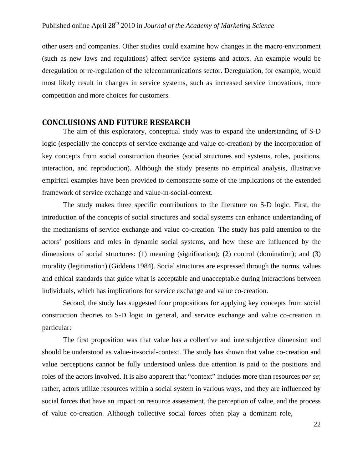other users and companies. Other studies could examine how changes in the macro-environment (such as new laws and regulations) affect service systems and actors. An example would be deregulation or re-regulation of the telecommunications sector. Deregulation, for example, would most likely result in changes in service systems, such as increased service innovations, more competition and more choices for customers.

#### **CONCLUSIONS AND FUTURE RESEARCH**

The aim of this exploratory, conceptual study was to expand the understanding of S-D logic (especially the concepts of service exchange and value co-creation) by the incorporation of key concepts from social construction theories (social structures and systems, roles, positions, interaction, and reproduction). Although the study presents no empirical analysis, illustrative empirical examples have been provided to demonstrate some of the implications of the extended framework of service exchange and value-in-social-context.

The study makes three specific contributions to the literature on S-D logic. First, the introduction of the concepts of social structures and social systems can enhance understanding of the mechanisms of service exchange and value co-creation. The study has paid attention to the actors' positions and roles in dynamic social systems, and how these are influenced by the dimensions of social structures: (1) meaning (signification); (2) control (domination); and (3) morality (legitimation) (Giddens 1984). Social structures are expressed through the norms, values and ethical standards that guide what is acceptable and unacceptable during interactions between individuals, which has implications for service exchange and value co-creation.

Second, the study has suggested four propositions for applying key concepts from social construction theories to S-D logic in general, and service exchange and value co-creation in particular:

The first proposition was that value has a collective and intersubjective dimension and should be understood as value-in-social-context. The study has shown that value co-creation and value perceptions cannot be fully understood unless due attention is paid to the positions and roles of the actors involved. It is also apparent that "context" includes more than resources *per se*; rather, actors utilize resources within a social system in various ways, and they are influenced by social forces that have an impact on resource assessment, the perception of value, and the process of value co-creation. Although collective social forces often play a dominant role,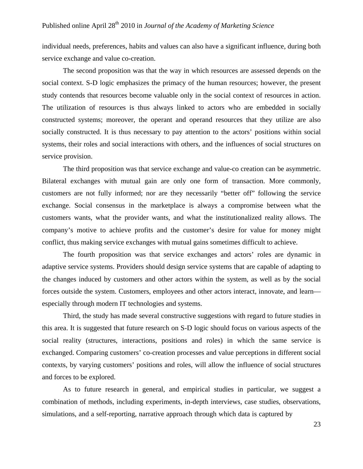individual needs, preferences, habits and values can also have a significant influence, during both service exchange and value co-creation.

The second proposition was that the way in which resources are assessed depends on the social context. S-D logic emphasizes the primacy of the human resources; however, the present study contends that resources become valuable only in the social context of resources in action. The utilization of resources is thus always linked to actors who are embedded in socially constructed systems; moreover, the operant and operand resources that they utilize are also socially constructed. It is thus necessary to pay attention to the actors' positions within social systems, their roles and social interactions with others, and the influences of social structures on service provision.

The third proposition was that service exchange and value-co creation can be asymmetric. Bilateral exchanges with mutual gain are only one form of transaction. More commonly, customers are not fully informed; nor are they necessarily "better off" following the service exchange. Social consensus in the marketplace is always a compromise between what the customers wants, what the provider wants, and what the institutionalized reality allows. The company's motive to achieve profits and the customer's desire for value for money might conflict, thus making service exchanges with mutual gains sometimes difficult to achieve.

The fourth proposition was that service exchanges and actors' roles are dynamic in adaptive service systems. Providers should design service systems that are capable of adapting to the changes induced by customers and other actors within the system, as well as by the social forces outside the system. Customers, employees and other actors interact, innovate, and learn especially through modern IT technologies and systems.

Third, the study has made several constructive suggestions with regard to future studies in this area. It is suggested that future research on S-D logic should focus on various aspects of the social reality (structures, interactions, positions and roles) in which the same service is exchanged. Comparing customers' co-creation processes and value perceptions in different social contexts, by varying customers' positions and roles, will allow the influence of social structures and forces to be explored.

As to future research in general, and empirical studies in particular, we suggest a combination of methods, including experiments, in-depth interviews, case studies, observations, simulations, and a self-reporting, narrative approach through which data is captured by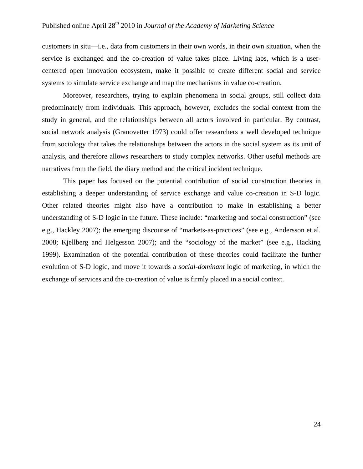customers in situ—i.e., data from customers in their own words, in their own situation, when the service is exchanged and the co-creation of value takes place. Living labs, which is a usercentered open innovation ecosystem, make it possible to create different social and service systems to simulate service exchange and map the mechanisms in value co-creation.

Moreover, researchers, trying to explain phenomena in social groups, still collect data predominately from individuals. This approach, however, excludes the social context from the study in general, and the relationships between all actors involved in particular. By contrast, social network analysis (Granovetter 1973) could offer researchers a well developed technique from sociology that takes the relationships between the actors in the social system as its unit of analysis, and therefore allows researchers to study complex networks. Other useful methods are narratives from the field, the diary method and the critical incident technique.

This paper has focused on the potential contribution of social construction theories in establishing a deeper understanding of service exchange and value co-creation in S-D logic. Other related theories might also have a contribution to make in establishing a better understanding of S-D logic in the future. These include: "marketing and social construction" (see e.g., Hackley 2007); the emerging discourse of "markets-as-practices" (see e.g., Andersson et al. 2008; Kjellberg and Helgesson 2007); and the "sociology of the market" (see e.g., Hacking 1999). Examination of the potential contribution of these theories could facilitate the further evolution of S-D logic, and move it towards a *social-dominant* logic of marketing, in which the exchange of services and the co-creation of value is firmly placed in a social context.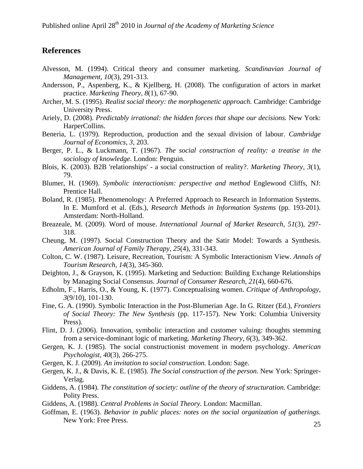## **References**

- Alvesson, M. (1994). Critical theory and consumer marketing. *Scandinavian Journal of Management, 10*(3), 291-313.
- Andersson, P., Aspenberg, K., & Kjellberg, H. (2008). The configuration of actors in market practice. *Marketing Theory, 8*(1), 67-90.
- Archer, M. S. (1995). *Realist social theory: the morphogenetic approach.* Cambridge: Cambridge University Press.
- Ariely, D. (2008). *Predictably irrational: the hidden forces that shape our decisions.* New York: HarperCollins.
- Beneria, L. (1979). Reproduction, production and the sexual division of labour. *Cambridge Journal of Economics, 3*, 203.
- Berger, P. L., & Luckmann, T. (1967). *The social construction of reality: a treatise in the sociology of knowledge.* London: Penguin.
- Blois, K. (2003). B2B 'relationships' a social construction of reality?. *Marketing Theory, 3*(1), 79.
- Blumer, H. (1969). *Symbolic interactionism: perspective and method* Englewood Cliffs, NJ: Prentice Hall.
- Boland, R. (1985). Phenomenology: A Preferred Approach to Research in Information Systems. In E. Mumford et al. (Eds.), *Research Methods in Information Systems* (pp. 193-201). Amsterdam: North-Holland.
- Breazeale, M. (2009). Word of mouse. *International Journal of Market Research, 51*(3), 297- 318.
- Cheung, M. (1997). Social Construction Theory and the Satir Model: Towards a Synthesis. *American Journal of Family Therapy, 25*(4), 331-343.
- Colton, C. W. (1987). Leisure, Recreation, Tourism: A Symbolic Interactionism View. *Annals of Tourism Research, 14*(3), 345-360.
- Deighton, J., & Grayson, K. (1995). Marketing and Seduction: Building Exchange Relationships by Managing Social Consensus. *Journal of Consumer Research, 21*(4), 660-676.
- Edholm, F., Harris, O., & Young, K. (1977). Conceptualising women. *Critique of Anthropology, 3*(9/10), 101-130.
- Fine, G. A. (1990). Symbolic Interaction in the Post-Blumerian Age. In G. Ritzer (Ed.), *Frontiers of Social Theory: The New Synthesis* (pp. 117-157). New York: Columbia University Press).
- Flint, D. J. (2006). Innovation, symbolic interaction and customer valuing: thoughts stemming from a service-dominant logic of marketing. *Marketing Theory, 6*(3), 349-362.
- Gergen, K. J. (1985). The social constructionist movement in modern psychology. *American Psychologist, 40*(3), 266-275.
- Gergen, K. J. (2009). *An invitation to social construction.* London: Sage.
- Gergen, K. J., & Davis, K. E. (1985). *The Social construction of the person.* New York: Springer-Verlag.
- Giddens, A. (1984). *The constitution of society: outline of the theory of structuration.* Cambridge: Polity Press.
- Giddens, A. (1988). *Central Problems in Social Theory.* London: Macmillan.
- Goffman, E. (1963). *Behavior in public places: notes on the social organization of gatherings.* New York: Free Press.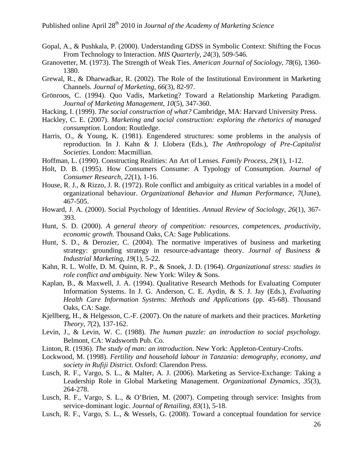- Gopal, A., & Pushkala, P. (2000). Understanding GDSS in Symbolic Context: Shifting the Focus From Technology to Interaction. *MIS Quarterly, 24*(3), 509-546.
- Granovetter, M. (1973). The Strength of Weak Ties. *American Journal of Sociology, 78*(6), 1360- 1380.
- Grewal, R., & Dharwadkar, R. (2002). The Role of the Institutional Environment in Marketing Channels. *Journal of Marketing, 66*(3), 82-97.
- Grönroos, C. (1994). Quo Vadis, Marketing? Toward a Relationship Marketing Paradigm. *Journal of Marketing Management, 10*(5), 347-360.
- Hacking, I. (1999). *The social construction of what?* Cambridge, MA: Harvard University Press.
- Hackley, C. E. (2007). *Marketing and social construction: exploring the rhetorics of managed consumption.* London: Routledge.
- Harris, O., & Young, K. (1981). Engendered structures: some problems in the analysis of reproduction. In J. Kahn & J. Llobera (Eds.), *The Anthropology of Pre-Capitalist Societies.* London: Macmillian.
- Hoffman, L. (1990). Constructing Realities: An Art of Lenses. *Family Process, 29*(1), 1-12.
- Holt, D. B. (1995). How Consumers Consume: A Typology of Consumption. *Journal of Consumer Research, 22*(1), 1-16.
- House, R. J., & Rizzo, J. R. (1972). Role conflict and ambiguity as critical variables in a model of organizational behaviour. *Organizational Behavior and Human Performance, 7*(June), 467-505.
- Howard, J. A. (2000). Social Psychology of Identities. *Annual Review of Sociology, 26*(1), 367- 393.
- Hunt, S. D. (2000). *A general theory of competition: resources, competences, productivity, economic growth.* Thousand Oaks, CA: Sage Publications.
- Hunt, S. D., & Derozier, C. (2004). The normative imperatives of business and marketing strategy: grounding strategy in resource-advantage theory. *Journal of Business & Industrial Marketing, 19*(1), 5-22.
- Kahn, R. L. Wolfe, D. M. Quinn, R. P., & Snoek, J. D. (1964). *Organizational stress: studies in role conflict and ambiguity.* New York: Wiley & Sons.
- Kaplan, B., & Maxwell, J. A. (1994). Qualitative Research Methods for Evaluating Computer Information Systems. In J. G. Anderson, C. E. Aydin, & S. J. Jay (Eds.), *Evaluating Health Care Information Systems: Methods and Applications* (pp. 45-68). Thousand Oaks, CA: Sage.
- Kjellberg, H., & Helgesson, C.-F. (2007). On the nature of markets and their practices. *Marketing Theory, 7*(2), 137-162.
- Levin, J., & Levin, W. C. (1988). *The human puzzle: an introduction to social psychology.* Belmont, CA: Wadsworth Pub. Co.
- Linton, R. (1936). *The study of man: an introduction.* New York: Appleton-Century-Crofts.
- Lockwood, M. (1998). *Fertility and household labour in Tanzania: demography, economy, and society in Rufiji District.* Oxford: Clarendon Press.
- Lusch, R. F., Vargo, S. L., & Malter, A. J. (2006). Marketing as Service-Exchange: Taking a Leadership Role in Global Marketing Management. *Organizational Dynamics, 35*(3), 264-278.
- Lusch, R. F., Vargo, S. L., & O'Brien, M. (2007). Competing through service: Insights from service-dominant logic. *Journal of Retailing, 83*(1), 5-18.
- Lusch, R. F., Vargo, S. L., & Wessels, G. (2008). Toward a conceptual foundation for service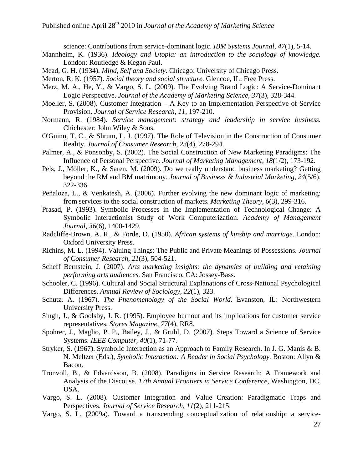science: Contributions from service-dominant logic. *IBM Systems Journal, 47*(1), 5-14.

- Mannheim, K. (1936). *Ideology and Utopia: an introduction to the sociology of knowledge.* London: Routledge & Kegan Paul.
- Mead, G. H. (1934). *Mind, Self and Society.* Chicago: University of Chicago Press.
- Merton, R. K. (1957). *Social theory and social structure.* Glencoe, IL: Free Press.
- Merz, M. A., He, Y., & Vargo, S. L. (2009). The Evolving Brand Logic: A Service-Dominant Logic Perspective. *Journal of the Academy of Marketing Science, 37*(3), 328-344.
- Moeller, S. (2008). Customer Integration A Key to an Implementation Perspective of Service Provision. *Journal of Service Research, 11*, 197-210.
- Normann, R. (1984). *Service management: strategy and leadership in service business.* Chichester: John Wiley & Sons.
- O'Guinn, T. C., & Shrum, L. J. (1997). The Role of Television in the Construction of Consumer Reality. *Journal of Consumer Research, 23*(4), 278-294.
- Palmer, A., & Ponsonby, S. (2002). The Social Construction of New Marketing Paradigms: The Influence of Personal Perspective. *Journal of Marketing Management, 18*(1/2), 173-192.
- Pels, J., Möller, K., & Saren, M. (2009). Do we really understand business marketing? Getting beyond the RM and BM matrimony. *Journal of Business & Industrial Marketing, 24*(5/6), 322-336.
- Peñaloza, L., & Venkatesh, A. (2006). Further evolving the new dominant logic of marketing: from services to the social construction of markets. *Marketing Theory, 6*(3), 299-316.
- Prasad, P. (1993). Symbolic Processes in the Implementation of Technological Change: A Symbolic Interactionist Study of Work Computerization. *Academy of Management Journal, 36*(6), 1400-1429.
- Radcliffe-Brown, A. R., & Forde, D. (1950). *African systems of kinship and marriage.* London: Oxford University Press.
- Richins, M. L. (1994). Valuing Things: The Public and Private Meanings of Possessions. *Journal of Consumer Research, 21*(3), 504-521.
- Scheff Bernstein, J. (2007). *Arts marketing insights: the dynamics of building and retaining performing arts audiences.* San Francisco, CA: Jossey-Bass.
- Schooler, C. (1996). Cultural and Social Structural Explanations of Cross-National Psychological Differences. *Annual Review of Sociology, 22*(1), 323.
- Schutz, A. (1967). *The Phenomenology of the Social World.* Evanston, IL: Northwestern University Press.
- Singh, J., & Goolsby, J. R. (1995). Employee burnout and its implications for customer service representatives. *Stores Magazine, 77*(4), RR8.
- Spohrer, J., Maglio, P. P., Bailey, J., & Gruhl, D. (2007). Steps Toward a Science of Service Systems. *IEEE Computer, 40*(1), 71-77.
- Stryker, S. (1967). Symbolic Interaction as an Approach to Family Research. In J. G. Manis & B. N. Meltzer (Eds.), *Symbolic Interaction: A Reader in Social Psychology.* Boston: Allyn & Bacon.
- Tronvoll, B., & Edvardsson, B. (2008). Paradigms in Service Research: A Framework and Analysis of the Discouse. *17th Annual Frontiers in Service Conference,* Washington, DC, USA.
- Vargo, S. L. (2008). Customer Integration and Value Creation: Paradigmatic Traps and Perspectives. *Journal of Service Research, 11*(2), 211-215.
- Vargo, S. L. (2009a). Toward a transcending conceptualization of relationship: a service-